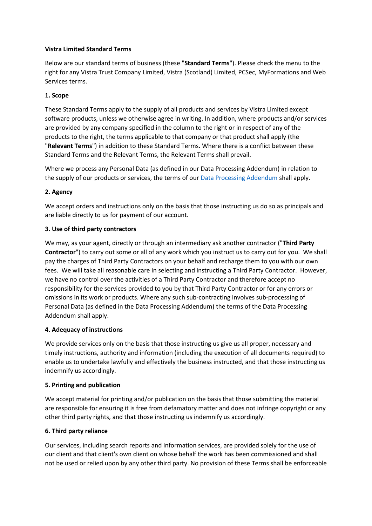### **Vistra Limited Standard Terms**

Below are our standard terms of business (these "**Standard Terms**"). Please check the menu to the right for any Vistra Trust Company Limited, Vistra (Scotland) Limited, PCSec, MyFormations and Web Services terms.

### **1. Scope**

These Standard Terms apply to the supply of all products and services by Vistra Limited except software products, unless we otherwise agree in writing. In addition, where products and/or services are provided by any company specified in the column to the right or in respect of any of the products to the right, the terms applicable to that company or that product shall apply (the "**Relevant Terms**") in addition to these Standard Terms. Where there is a conflict between these Standard Terms and the Relevant Terms, the Relevant Terms shall prevail.

Where we process any Personal Data (as defined in our Data Processing Addendum) in relation to the supply of our products or services, the terms of our [Data Processing Addendum](https://businessportal.vistra.com/documents/793163/0/Vistra+Data+Processing+Addendum/3b9a9eb0-ad76-6313-51e0-9e3fa7b702eb) shall apply.

# **2. Agency**

We accept orders and instructions only on the basis that those instructing us do so as principals and are liable directly to us for payment of our account.

# **3. Use of third party contractors**

We may, as your agent, directly or through an intermediary ask another contractor ("**Third Party Contractor**") to carry out some or all of any work which you instruct us to carry out for you. We shall pay the charges of Third Party Contractors on your behalf and recharge them to you with our own fees. We will take all reasonable care in selecting and instructing a Third Party Contractor. However, we have no control over the activities of a Third Party Contractor and therefore accept no responsibility for the services provided to you by that Third Party Contractor or for any errors or omissions in its work or products. Where any such sub-contracting involves sub-processing of Personal Data (as defined in the Data Processing Addendum) the terms of the Data Processing Addendum shall apply.

# **4. Adequacy of instructions**

We provide services only on the basis that those instructing us give us all proper, necessary and timely instructions, authority and information (including the execution of all documents required) to enable us to undertake lawfully and effectively the business instructed, and that those instructing us indemnify us accordingly.

# **5. Printing and publication**

We accept material for printing and/or publication on the basis that those submitting the material are responsible for ensuring it is free from defamatory matter and does not infringe copyright or any other third party rights, and that those instructing us indemnify us accordingly.

# **6. Third party reliance**

Our services, including search reports and information services, are provided solely for the use of our client and that client's own client on whose behalf the work has been commissioned and shall not be used or relied upon by any other third party. No provision of these Terms shall be enforceable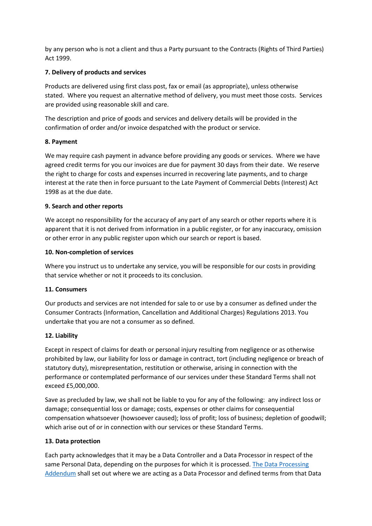by any person who is not a client and thus a Party pursuant to the Contracts (Rights of Third Parties) Act 1999.

# **7. Delivery of products and services**

Products are delivered using first class post, fax or email (as appropriate), unless otherwise stated. Where you request an alternative method of delivery, you must meet those costs. Services are provided using reasonable skill and care.

The description and price of goods and services and delivery details will be provided in the confirmation of order and/or invoice despatched with the product or service.

# **8. Payment**

We may require cash payment in advance before providing any goods or services. Where we have agreed credit terms for you our invoices are due for payment 30 days from their date. We reserve the right to charge for costs and expenses incurred in recovering late payments, and to charge interest at the rate then in force pursuant to the Late Payment of Commercial Debts (Interest) Act 1998 as at the due date.

# **9. Search and other reports**

We accept no responsibility for the accuracy of any part of any search or other reports where it is apparent that it is not derived from information in a public register, or for any inaccuracy, omission or other error in any public register upon which our search or report is based.

# **10. Non-completion of services**

Where you instruct us to undertake any service, you will be responsible for our costs in providing that service whether or not it proceeds to its conclusion.

# **11. Consumers**

Our products and services are not intended for sale to or use by a consumer as defined under the Consumer Contracts (Information, Cancellation and Additional Charges) Regulations 2013. You undertake that you are not a consumer as so defined.

# **12. Liability**

Except in respect of claims for death or personal injury resulting from negligence or as otherwise prohibited by law, our liability for loss or damage in contract, tort (including negligence or breach of statutory duty), misrepresentation, restitution or otherwise, arising in connection with the performance or contemplated performance of our services under these Standard Terms shall not exceed £5,000,000.

Save as precluded by law, we shall not be liable to you for any of the following: any indirect loss or damage; consequential loss or damage; costs, expenses or other claims for consequential compensation whatsoever (howsoever caused); loss of profit; loss of business; depletion of goodwill; which arise out of or in connection with our services or these Standard Terms.

# **13. Data protection**

Each party acknowledges that it may be a Data Controller and a Data Processor in respect of the same Personal Data, depending on the purposes for which it is processed. [The Data Processing](https://businessportal.vistra.com/documents/793163/0/Vistra+Data+Processing+Addendum/3b9a9eb0-ad76-6313-51e0-9e3fa7b702eb)  [Addendum](https://businessportal.vistra.com/documents/793163/0/Vistra+Data+Processing+Addendum/3b9a9eb0-ad76-6313-51e0-9e3fa7b702eb) shall set out where we are acting as a Data Processor and defined terms from that Data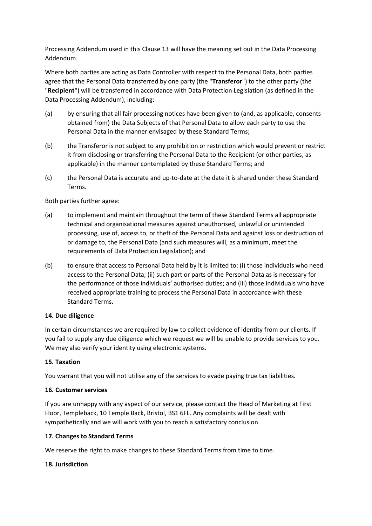Processing Addendum used in this Clause 13 will have the meaning set out in the Data Processing Addendum.

Where both parties are acting as Data Controller with respect to the Personal Data, both parties agree that the Personal Data transferred by one party (the "**Transferor**") to the other party (the "**Recipient**") will be transferred in accordance with Data Protection Legislation (as defined in the Data Processing Addendum), including:

- (a) by ensuring that all fair processing notices have been given to (and, as applicable, consents obtained from) the Data Subjects of that Personal Data to allow each party to use the Personal Data in the manner envisaged by these Standard Terms;
- (b) the Transferor is not subject to any prohibition or restriction which would prevent or restrict it from disclosing or transferring the Personal Data to the Recipient (or other parties, as applicable) in the manner contemplated by these Standard Terms; and
- (c) the Personal Data is accurate and up-to-date at the date it is shared under these Standard Terms.

# Both parties further agree:

- (a) to implement and maintain throughout the term of these Standard Terms all appropriate technical and organisational measures against unauthorised, unlawful or unintended processing, use of, access to, or theft of the Personal Data and against loss or destruction of or damage to, the Personal Data (and such measures will, as a minimum, meet the requirements of Data Protection Legislation); and
- (b) to ensure that access to Personal Data held by it is limited to: (i) those individuals who need access to the Personal Data; (ii) such part or parts of the Personal Data as is necessary for the performance of those individuals' authorised duties; and (iii) those individuals who have received appropriate training to process the Personal Data in accordance with these Standard Terms.

### **14. Due diligence**

In certain circumstances we are required by law to collect evidence of identity from our clients. If you fail to supply any due diligence which we request we will be unable to provide services to you. We may also verify your identity using electronic systems.

# **15. Taxation**

You warrant that you will not utilise any of the services to evade paying true tax liabilities.

### **16. Customer services**

If you are unhappy with any aspect of our service, please contact the Head of Marketing at First Floor, Templeback, 10 Temple Back, Bristol, BS1 6FL. Any complaints will be dealt with sympathetically and we will work with you to reach a satisfactory conclusion.

### **17. Changes to Standard Terms**

We reserve the right to make changes to these Standard Terms from time to time.

### **18. Jurisdiction**